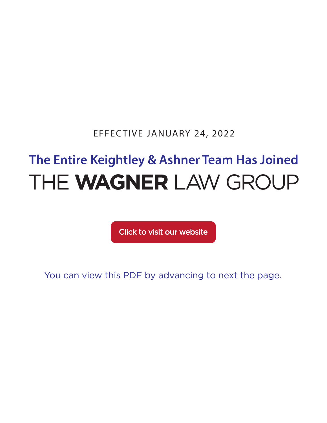EFFECTIVE JANUARY 24, 2022

# **The Entire Keightley & Ashner Team Has Joined** THE **WAGNER** LAW GROUP

[Click to visit our website](https://www.wagnerlawgroup.com/)

You can view this PDF by advancing to next the page.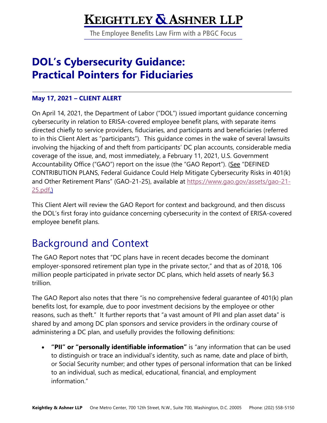## **KEIGHTLEY & ASHNER LLP**

The Employee Benefits Law Firm with a PBGC Focus

## **DOL's Cybersecurity Guidance: Practical Pointers for Fiduciaries**

#### **May 17, 2021 – CLIENT ALERT**

On April 14, 2021, the Department of Labor ("DOL") issued important guidance concerning cybersecurity in relation to ERISA-covered employee benefit plans, with separate items directed chiefly to service providers, fiduciaries, and participants and beneficiaries (referred to in this Client Alert as "participants"). This guidance comes in the wake of several lawsuits involving the hijacking of and theft from participants' DC plan accounts, considerable media coverage of the issue, and, most immediately, a February 11, 2021, U.S. Government Accountability Office ("GAO") report on the issue (the "GAO Report"). (See "DEFINED CONTRIBUTION PLANS, Federal Guidance Could Help Mitigate Cybersecurity Risks in 401(k) and Other Retirement Plans" (GAO-21-25), available at https://www.gao.gov/assets/gao-21- 25.pdf.)

This Client Alert will review the GAO Report for context and background, and then discuss the DOL's first foray into guidance concerning cybersecurity in the context of ERISA-covered employee benefit plans.

## Background and Context

The GAO Report notes that "DC plans have in recent decades become the dominant employer-sponsored retirement plan type in the private sector," and that as of 2018, 106 million people participated in private sector DC plans, which held assets of nearly \$6.3 trillion.

The GAO Report also notes that there "is no comprehensive federal guarantee of 401(k) plan benefits lost, for example, due to poor investment decisions by the employee or other reasons, such as theft." It further reports that "a vast amount of PII and plan asset data" is shared by and among DC plan sponsors and service providers in the ordinary course of administering a DC plan, and usefully provides the following definitions:

• **"PII" or "personally identifiable information"** is "any information that can be used to distinguish or trace an individual's identity, such as name, date and place of birth, or Social Security number; and other types of personal information that can be linked to an individual, such as medical, educational, financial, and employment information."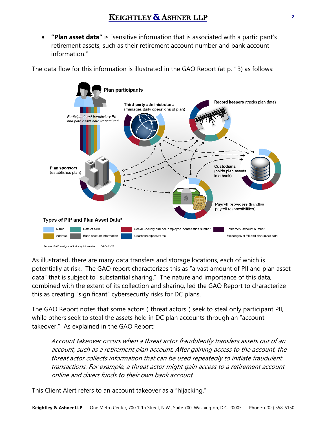• **"Plan asset data"** is "sensitive information that is associated with a participant's retirement assets, such as their retirement account number and bank account information."

The data flow for this information is illustrated in the GAO Report (at p. 13) as follows:



As illustrated, there are many data transfers and storage locations, each of which is potentially at risk. The GAO report characterizes this as "a vast amount of PII and plan asset data" that is subject to "substantial sharing." The nature and importance of this data, combined with the extent of its collection and sharing, led the GAO Report to characterize this as creating "significant" cybersecurity risks for DC plans.

The GAO Report notes that some actors ("threat actors") seek to steal only participant PII, while others seek to steal the assets held in DC plan accounts through an "account takeover." As explained in the GAO Report:

Account takeover occurs when a threat actor fraudulently transfers assets out of an account, such as a retirement plan account. After gaining access to the account, the threat actor collects information that can be used repeatedly to initiate fraudulent transactions. For example, a threat actor might gain access to a retirement account online and divert funds to their own bank account.

This Client Alert refers to an account takeover as a "hijacking."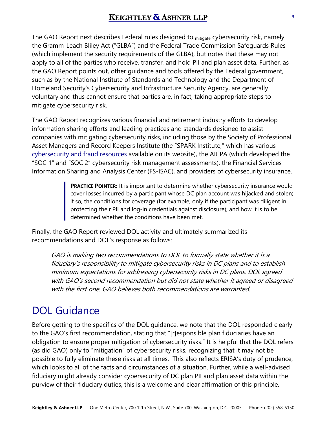The GAO Report next describes Federal rules designed to <sub>mitigate</sub> cybersecurity risk, namely the Gramm-Leach Bliley Act ("GLBA") and the Federal Trade Commission Safeguards Rules (which implement the security requirements of the GLBA), but notes that these may not apply to all of the parties who receive, transfer, and hold PII and plan asset data. Further, as the GAO Report points out, other guidance and tools offered by the Federal government, such as by the National Institute of Standards and Technology and the Department of Homeland Security's Cybersecurity and Infrastructure Security Agency, are generally voluntary and thus cannot ensure that parties are, in fact, taking appropriate steps to mitigate cybersecurity risk.

The GAO Report recognizes various financial and retirement industry efforts to develop information sharing efforts and leading practices and standards designed to assist companies with mitigating cybersecurity risks, including those by the Society of Professional Asset Managers and Record Keepers Institute (the "SPARK Institute," which has various [cybersecurity and fraud resources](https://www.sparkinstitute.org/resources/cybersecurity-and-fraud-resources/) available on its website), the AICPA (which developed the "SOC 1" and "SOC 2" cybersecurity risk management assessments), the Financial Services Information Sharing and Analysis Center (FS-ISAC), and providers of cybersecurity insurance.

> **PRACTICE POINTER:** It is important to determine whether cybersecurity insurance would cover losses incurred by a participant whose DC plan account was hijacked and stolen; if so, the conditions for coverage (for example, only if the participant was diligent in protecting their PII and log-in credentials against disclosure); and how it is to be determined whether the conditions have been met.

Finally, the GAO Report reviewed DOL activity and ultimately summarized its recommendations and DOL's response as follows:

GAO is making two recommendations to DOL to formally state whether it is a fiduciary's responsibility to mitigate cybersecurity risks in DC plans and to establish minimum expectations for addressing cybersecurity risks in DC plans. DOL agreed with GAO's second recommendation but did not state whether it agreed or disagreed with the first one. GAO believes both recommendations are warranted.

## DOL Guidance

Before getting to the specifics of the DOL guidance, we note that the DOL responded clearly to the GAO's first recommendation, stating that "[r]esponsible plan fiduciaries have an obligation to ensure proper mitigation of cybersecurity risks." It is helpful that the DOL refers (as did GAO) only to "mitigation" of cybersecurity risks, recognizing that it may not be possible to fully eliminate these risks at all times. This also reflects ERISA's duty of prudence, which looks to all of the facts and circumstances of a situation. Further, while a well-advised fiduciary might already consider cybersecurity of DC plan PII and plan asset data within the purview of their fiduciary duties, this is a welcome and clear affirmation of this principle.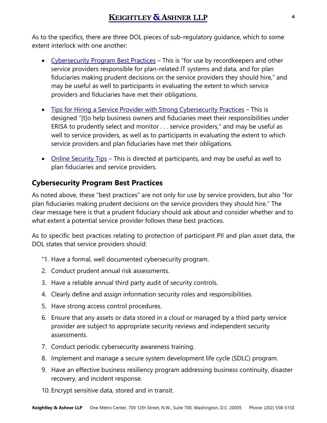As to the specifics, there are three DOL pieces of sub-regulatory guidance, which to some extent interlock with one another:

- [Cybersecurity Program Best Practices](https://www.dol.gov/sites/dolgov/files/ebsa/key-topics/retirement-benefits/cybersecurity/best-practices.pdf)  This is "for use by recordkeepers and other service providers responsible for plan-related IT systems and data, and for plan fiduciaries making prudent decisions on the service providers they should hire," and may be useful as well to participants in evaluating the extent to which service providers and fiduciaries have met their obligations.
- [Tips for Hiring a Service Provider with Strong Cybersecurity Practices](https://www.dol.gov/sites/dolgov/files/ebsa/key-topics/retirement-benefits/cybersecurity/tips-for-hiring-a-service-provider-with-strong-security-practices.pdf) This is designed "[t]o help business owners and fiduciaries meet their responsibilities under ERISA to prudently select and monitor . . . service providers," and may be useful as well to service providers, as well as to participants in evaluating the extent to which service providers and plan fiduciaries have met their obligations.
- [Online Security Tips](https://www.dol.gov/sites/dolgov/files/ebsa/key-topics/retirement-benefits/cybersecurity/online-security-tips.pdf) This is directed at participants, and may be useful as well to plan fiduciaries and service providers.

#### **Cybersecurity Program Best Practices**

As noted above, these "best practices" are not only for use by service providers, but also "for plan fiduciaries making prudent decisions on the service providers they should hire." The clear message here is that a prudent fiduciary should ask about and consider whether and to what extent a potential service provider follows these best practices.

As to specific best practices relating to protection of participant PII and plan asset data, the DOL states that service providers should:

- "1. Have a formal, well documented cybersecurity program.
- 2. Conduct prudent annual risk assessments.
- 3. Have a reliable annual third party audit of security controls.
- 4. Clearly define and assign information security roles and responsibilities.
- 5. Have strong access control procedures.
- 6. Ensure that any assets or data stored in a cloud or managed by a third party service provider are subject to appropriate security reviews and independent security assessments.
- 7. Conduct periodic cybersecurity awareness training.
- 8. Implement and manage a secure system development life cycle (SDLC) program.
- 9. Have an effective business resiliency program addressing business continuity, disaster recovery, and incident response.
- 10. Encrypt sensitive data, stored and in transit.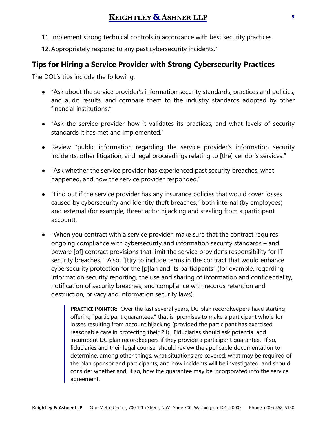#### **KEIGHTLEY & ASHNER LLP**

- 11. Implement strong technical controls in accordance with best security practices.
- 12. Appropriately respond to any past cybersecurity incidents."

#### **Tips for Hiring a Service Provider with Strong Cybersecurity Practices**

The DOL's tips include the following:

- "Ask about the service provider's information security standards, practices and policies, and audit results, and compare them to the industry standards adopted by other financial institutions."
- "Ask the service provider how it validates its practices, and what levels of security standards it has met and implemented."
- Review "public information regarding the service provider's information security incidents, other litigation, and legal proceedings relating to [the] vendor's services."
- "Ask whether the service provider has experienced past security breaches, what happened, and how the service provider responded."
- "Find out if the service provider has any insurance policies that would cover losses caused by cybersecurity and identity theft breaches," both internal (by employees) and external (for example, threat actor hijacking and stealing from a participant account).
- "When you contract with a service provider, make sure that the contract requires ongoing compliance with cybersecurity and information security standards – and beware [of] contract provisions that limit the service provider's responsibility for IT security breaches." Also, "[t]ry to include terms in the contract that would enhance cybersecurity protection for the [p]lan and its participants" (for example, regarding information security reporting, the use and sharing of information and confidentiality, notification of security breaches, and compliance with records retention and destruction, privacy and information security laws).

**PRACTICE POINTER:** Over the last several years, DC plan recordkeepers have starting offering "participant guarantees," that is, promises to make a participant whole for losses resulting from account hijacking (provided the participant has exercised reasonable care in protecting their PII). Fiduciaries should ask potential and incumbent DC plan recordkeepers if they provide a participant guarantee. If so, fiduciaries and their legal counsel should review the applicable documentation to determine, among other things, what situations are covered, what may be required of the plan sponsor and participants, and how incidents will be investigated, and should consider whether and, if so, how the guarantee may be incorporated into the service agreement.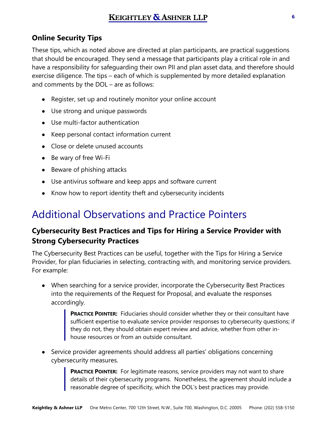#### **Online Security Tips**

These tips, which as noted above are directed at plan participants, are practical suggestions that should be encouraged. They send a message that participants play a critical role in and have a responsibility for safeguarding their own PII and plan asset data, and therefore should exercise diligence. The tips – each of which is supplemented by more detailed explanation and comments by the DOL – are as follows:

- Register, set up and routinely monitor your online account
- Use strong and unique passwords
- Use multi-factor authentication
- Keep personal contact information current
- Close or delete unused accounts
- Be wary of free Wi-Fi
- Beware of phishing attacks
- Use antivirus software and keep apps and software current
- Know how to report identity theft and cybersecurity incidents

## Additional Observations and Practice Pointers

#### **Cybersecurity Best Practices and Tips for Hiring a Service Provider with Strong Cybersecurity Practices**

The Cybersecurity Best Practices can be useful, together with the Tips for Hiring a Service Provider, for plan fiduciaries in selecting, contracting with, and monitoring service providers. For example:

● When searching for a service provider, incorporate the Cybersecurity Best Practices into the requirements of the Request for Proposal, and evaluate the responses accordingly.

> **PRACTICE POINTER:** Fiduciaries should consider whether they or their consultant have sufficient expertise to evaluate service provider responses to cybersecurity questions; if they do not, they should obtain expert review and advice, whether from other inhouse resources or from an outside consultant.

● Service provider agreements should address all parties' obligations concerning cybersecurity measures.

> **PRACTICE POINTER:** For legitimate reasons, service providers may not want to share details of their cybersecurity programs. Nonetheless, the agreement should include a reasonable degree of specificity, which the DOL's best practices may provide.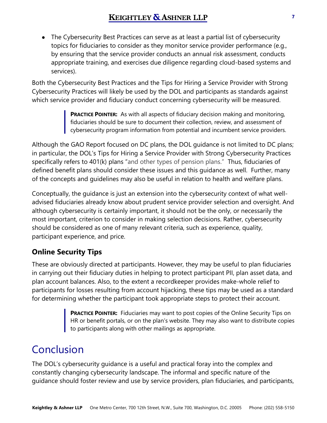#### **KEIGHTLEY & ASHNER LLP**

The Cybersecurity Best Practices can serve as at least a partial list of cybersecurity topics for fiduciaries to consider as they monitor service provider performance (e.g., by ensuring that the service provider conducts an annual risk assessment, conducts appropriate training, and exercises due diligence regarding cloud-based systems and services).

Both the Cybersecurity Best Practices and the Tips for Hiring a Service Provider with Strong Cybersecurity Practices will likely be used by the DOL and participants as standards against which service provider and fiduciary conduct concerning cybersecurity will be measured.

> **PRACTICE POINTER:** As with all aspects of fiduciary decision making and monitoring, fiduciaries should be sure to document their collection, review, and assessment of cybersecurity program information from potential and incumbent service providers.

Although the GAO Report focused on DC plans, the DOL guidance is not limited to DC plans; in particular, the DOL's Tips for Hiring a Service Provider with Strong Cybersecurity Practices specifically refers to 401(k) plans "and other types of pension plans." Thus, fiduciaries of defined benefit plans should consider these issues and this guidance as well. Further, many of the concepts and guidelines may also be useful in relation to health and welfare plans.

Conceptually, the guidance is just an extension into the cybersecurity context of what welladvised fiduciaries already know about prudent service provider selection and oversight. And although cybersecurity is certainly important, it should not be the only, or necessarily the most important, criterion to consider in making selection decisions. Rather, cybersecurity should be considered as one of many relevant criteria, such as experience, quality, participant experience, and price.

#### **Online Security Tips**

These are obviously directed at participants. However, they may be useful to plan fiduciaries in carrying out their fiduciary duties in helping to protect participant PII, plan asset data, and plan account balances. Also, to the extent a recordkeeper provides make-whole relief to participants for losses resulting from account hijacking, these tips may be used as a standard for determining whether the participant took appropriate steps to protect their account.

> **PRACTICE POINTER:** Fiduciaries may want to post copies of the Online Security Tips on HR or benefit portals, or on the plan's website. They may also want to distribute copies to participants along with other mailings as appropriate.

## Conclusion

The DOL's cybersecurity guidance is a useful and practical foray into the complex and constantly changing cybersecurity landscape. The informal and specific nature of the guidance should foster review and use by service providers, plan fiduciaries, and participants,